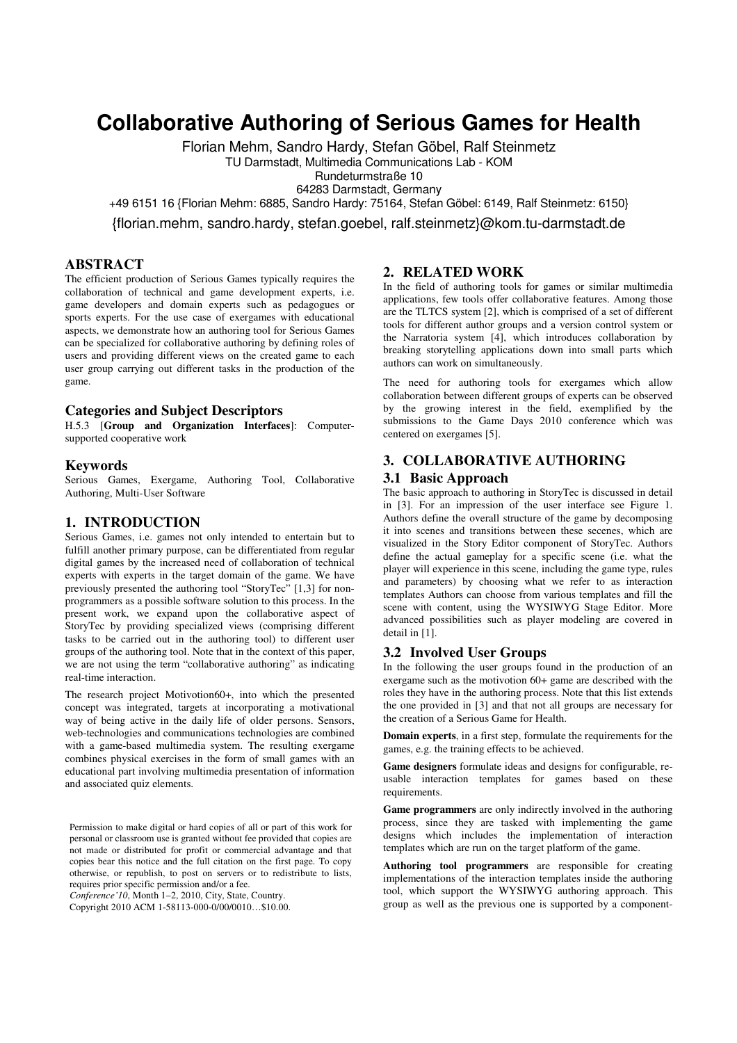# **Collaborative Authoring of Serious Games for Health**

Florian Mehm, Sandro Hardy, Stefan Göbel, Ralf Steinmetz TU Darmstadt, Multimedia Communications Lab - KOM

Rundeturmstraße 10

64283 Darmstadt, Germany

+49 6151 16 {Florian Mehm: 6885, Sandro Hardy: 75164, Stefan Göbel: 6149, Ralf Steinmetz: 6150}

{florian.mehm, sandro.hardy, stefan.goebel, ralf.steinmetz}@kom.tu-darmstadt.de

# **ABSTRACT**

The efficient production of Serious Games typically requires the collaboration of technical and game development experts, i.e. game developers and domain experts such as pedagogues or sports experts. For the use case of exergames with educational aspects, we demonstrate how an authoring tool for Serious Games can be specialized for collaborative authoring by defining roles of users and providing different views on the created game to each user group carrying out different tasks in the production of the game.

#### **Categories and Subject Descriptors**

H.5.3 [**Group and Organization Interfaces**]: Computersupported cooperative work

## **Keywords**

Serious Games, Exergame, Authoring Tool, Collaborative Authoring, Multi-User Software

#### **1. INTRODUCTION**

Serious Games, i.e. games not only intended to entertain but to fulfill another primary purpose, can be differentiated from regular digital games by the increased need of collaboration of technical experts with experts in the target domain of the game. We have previously presented the authoring tool "StoryTec" [1,3] for nonprogrammers as a possible software solution to this process. In the present work, we expand upon the collaborative aspect of StoryTec by providing specialized views (comprising different tasks to be carried out in the authoring tool) to different user groups of the authoring tool. Note that in the context of this paper, we are not using the term "collaborative authoring" as indicating real-time interaction.

The research project Motivotion60+, into which the presented concept was integrated, targets at incorporating a motivational way of being active in the daily life of older persons. Sensors, web-technologies and communications technologies are combined with a game-based multimedia system. The resulting exergame combines physical exercises in the form of small games with an educational part involving multimedia presentation of information and associated quiz elements.

Permission to make digital or hard copies of all or part of this work for personal or classroom use is granted without fee provided that copies are not made or distributed for profit or commercial advantage and that copies bear this notice and the full citation on the first page. To copy otherwise, or republish, to post on servers or to redistribute to lists, requires prior specific permission and/or a fee.

*Conference'10*, Month 1–2, 2010, City, State, Country.

Copyright 2010 ACM 1-58113-000-0/00/0010…\$10.00.

## **2. RELATED WORK**

In the field of authoring tools for games or similar multimedia applications, few tools offer collaborative features. Among those are the TLTCS system [2], which is comprised of a set of different tools for different author groups and a version control system or the Narratoria system [4], which introduces collaboration by breaking storytelling applications down into small parts which authors can work on simultaneously.

The need for authoring tools for exergames which allow collaboration between different groups of experts can be observed by the growing interest in the field, exemplified by the submissions to the Game Days 2010 conference which was centered on exergames [5].

# **3. COLLABORATIVE AUTHORING 3.1 Basic Approach**

The basic approach to authoring in StoryTec is discussed in detail in [3]. For an impression of the user interface see Figure 1. Authors define the overall structure of the game by decomposing it into scenes and transitions between these secenes, which are visualized in the Story Editor component of StoryTec. Authors define the actual gameplay for a specific scene (i.e. what the player will experience in this scene, including the game type, rules and parameters) by choosing what we refer to as interaction templates Authors can choose from various templates and fill the scene with content, using the WYSIWYG Stage Editor. More advanced possibilities such as player modeling are covered in detail in [1].

#### **3.2 Involved User Groups**

In the following the user groups found in the production of an exergame such as the motivotion 60+ game are described with the roles they have in the authoring process. Note that this list extends the one provided in [3] and that not all groups are necessary for the creation of a Serious Game for Health.

**Domain experts**, in a first step, formulate the requirements for the games, e.g. the training effects to be achieved.

**Game designers** formulate ideas and designs for configurable, reusable interaction templates for games based on these requirements.

**Game programmers** are only indirectly involved in the authoring process, since they are tasked with implementing the game designs which includes the implementation of interaction templates which are run on the target platform of the game.

**Authoring tool programmers** are responsible for creating implementations of the interaction templates inside the authoring tool, which support the WYSIWYG authoring approach. This group as well as the previous one is supported by a component